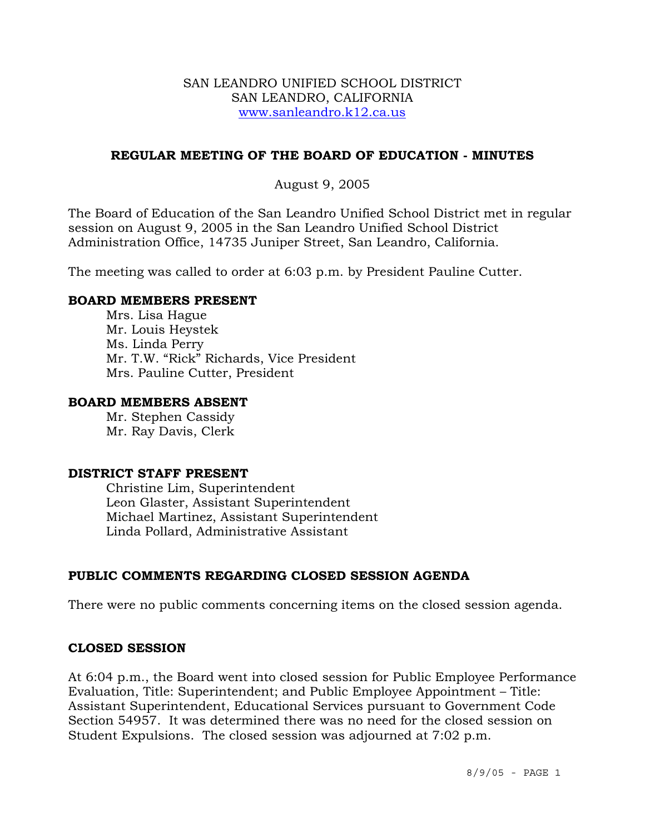### SAN LEANDRO UNIFIED SCHOOL DISTRICT SAN LEANDRO, CALIFORNIA www.sanleandro.k12.ca.us

## **REGULAR MEETING OF THE BOARD OF EDUCATION - MINUTES**

## August 9, 2005

The Board of Education of the San Leandro Unified School District met in regular session on August 9, 2005 in the San Leandro Unified School District Administration Office, 14735 Juniper Street, San Leandro, California.

The meeting was called to order at 6:03 p.m. by President Pauline Cutter.

### **BOARD MEMBERS PRESENT**

Mrs. Lisa Hague Mr. Louis Heystek Ms. Linda Perry Mr. T.W. "Rick" Richards, Vice President Mrs. Pauline Cutter, President

### **BOARD MEMBERS ABSENT**

Mr. Stephen Cassidy Mr. Ray Davis, Clerk

### **DISTRICT STAFF PRESENT**

Christine Lim, Superintendent Leon Glaster, Assistant Superintendent Michael Martinez, Assistant Superintendent Linda Pollard, Administrative Assistant

## **PUBLIC COMMENTS REGARDING CLOSED SESSION AGENDA**

There were no public comments concerning items on the closed session agenda.

## **CLOSED SESSION**

At 6:04 p.m., the Board went into closed session for Public Employee Performance Evaluation, Title: Superintendent; and Public Employee Appointment – Title: Assistant Superintendent, Educational Services pursuant to Government Code Section 54957. It was determined there was no need for the closed session on Student Expulsions. The closed session was adjourned at 7:02 p.m.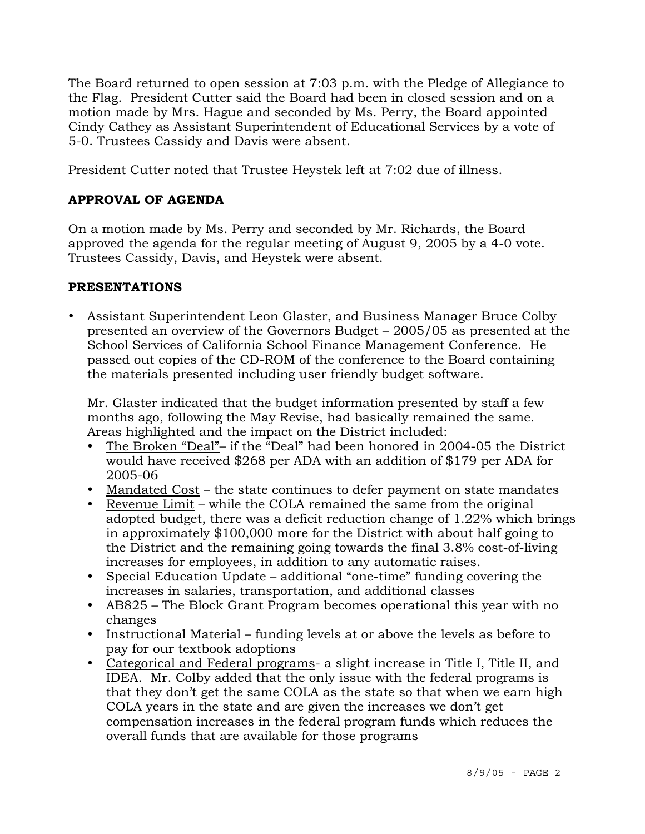The Board returned to open session at 7:03 p.m. with the Pledge of Allegiance to the Flag. President Cutter said the Board had been in closed session and on a motion made by Mrs. Hague and seconded by Ms. Perry, the Board appointed Cindy Cathey as Assistant Superintendent of Educational Services by a vote of 5-0. Trustees Cassidy and Davis were absent.

President Cutter noted that Trustee Heystek left at 7:02 due of illness.

# **APPROVAL OF AGENDA**

On a motion made by Ms. Perry and seconded by Mr. Richards, the Board approved the agenda for the regular meeting of August 9, 2005 by a 4-0 vote. Trustees Cassidy, Davis, and Heystek were absent.

# **PRESENTATIONS**

• Assistant Superintendent Leon Glaster, and Business Manager Bruce Colby presented an overview of the Governors Budget – 2005/05 as presented at the School Services of California School Finance Management Conference. He passed out copies of the CD-ROM of the conference to the Board containing the materials presented including user friendly budget software.

 Mr. Glaster indicated that the budget information presented by staff a few months ago, following the May Revise, had basically remained the same. Areas highlighted and the impact on the District included:

- The Broken "Deal"– if the "Deal" had been honored in 2004-05 the District would have received \$268 per ADA with an addition of \$179 per ADA for 2005-06
- Mandated Cost the state continues to defer payment on state mandates
- Revenue Limit while the COLA remained the same from the original adopted budget, there was a deficit reduction change of 1.22% which brings in approximately \$100,000 more for the District with about half going to the District and the remaining going towards the final 3.8% cost-of-living increases for employees, in addition to any automatic raises.
- Special Education Update additional "one-time" funding covering the increases in salaries, transportation, and additional classes
- AB825 The Block Grant Program becomes operational this year with no changes
- Instructional Material funding levels at or above the levels as before to pay for our textbook adoptions
- Categorical and Federal programs- a slight increase in Title I, Title II, and IDEA. Mr. Colby added that the only issue with the federal programs is that they don't get the same COLA as the state so that when we earn high COLA years in the state and are given the increases we don't get compensation increases in the federal program funds which reduces the overall funds that are available for those programs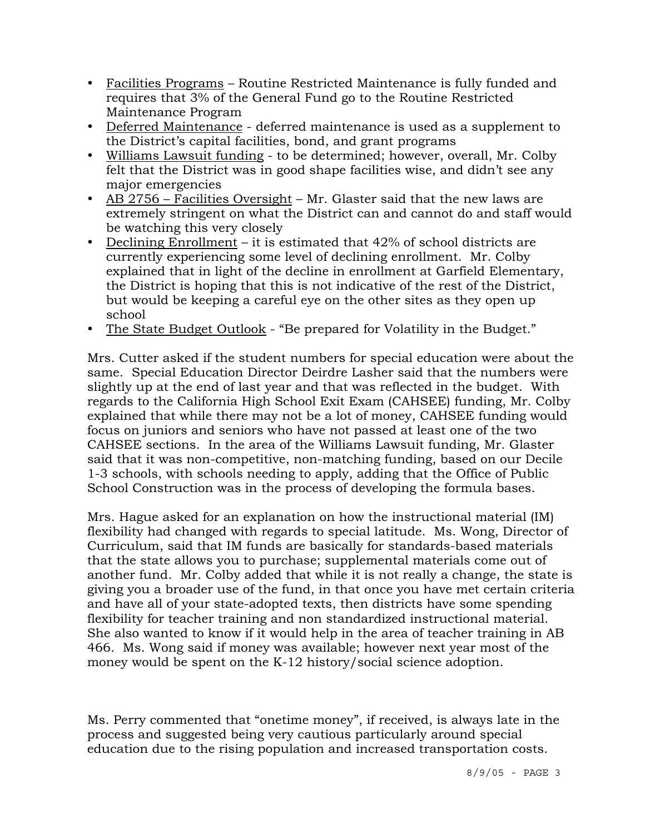- Facilities Programs Routine Restricted Maintenance is fully funded and requires that 3% of the General Fund go to the Routine Restricted Maintenance Program
- Deferred Maintenance deferred maintenance is used as a supplement to the District's capital facilities, bond, and grant programs
- y Williams Lawsuit funding to be determined; however, overall, Mr. Colby felt that the District was in good shape facilities wise, and didn't see any major emergencies
- AB 2756 Facilities Oversight Mr. Glaster said that the new laws are extremely stringent on what the District can and cannot do and staff would be watching this very closely
- Declining Enrollment it is estimated that  $42\%$  of school districts are currently experiencing some level of declining enrollment. Mr. Colby explained that in light of the decline in enrollment at Garfield Elementary, the District is hoping that this is not indicative of the rest of the District, but would be keeping a careful eye on the other sites as they open up school
- The State Budget Outlook "Be prepared for Volatility in the Budget."

Mrs. Cutter asked if the student numbers for special education were about the same. Special Education Director Deirdre Lasher said that the numbers were slightly up at the end of last year and that was reflected in the budget. With regards to the California High School Exit Exam (CAHSEE) funding, Mr. Colby explained that while there may not be a lot of money, CAHSEE funding would focus on juniors and seniors who have not passed at least one of the two CAHSEE sections. In the area of the Williams Lawsuit funding, Mr. Glaster said that it was non-competitive, non-matching funding, based on our Decile 1-3 schools, with schools needing to apply, adding that the Office of Public School Construction was in the process of developing the formula bases.

Mrs. Hague asked for an explanation on how the instructional material (IM) flexibility had changed with regards to special latitude. Ms. Wong, Director of Curriculum, said that IM funds are basically for standards-based materials that the state allows you to purchase; supplemental materials come out of another fund. Mr. Colby added that while it is not really a change, the state is giving you a broader use of the fund, in that once you have met certain criteria and have all of your state-adopted texts, then districts have some spending flexibility for teacher training and non standardized instructional material. She also wanted to know if it would help in the area of teacher training in AB 466. Ms. Wong said if money was available; however next year most of the money would be spent on the K-12 history/social science adoption.

Ms. Perry commented that "onetime money", if received, is always late in the process and suggested being very cautious particularly around special education due to the rising population and increased transportation costs.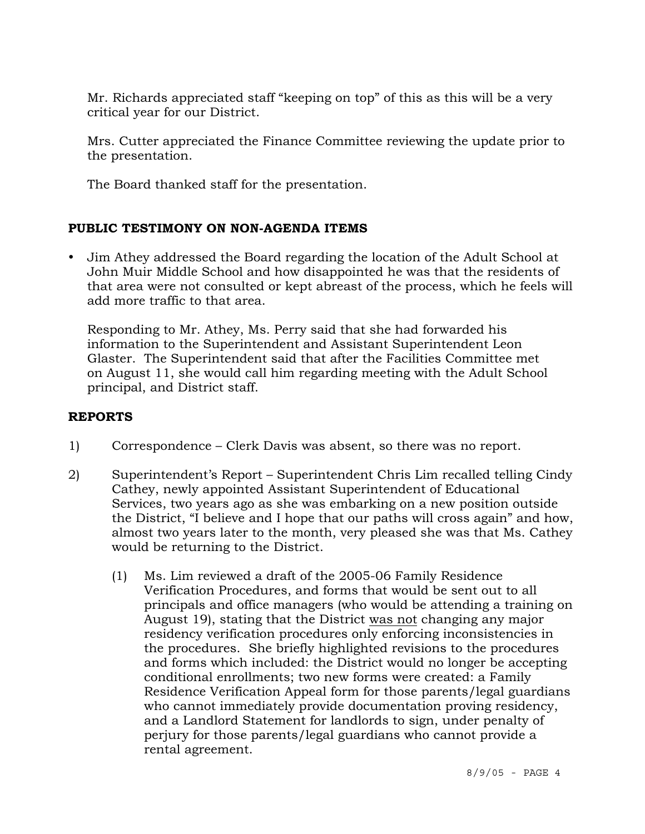Mr. Richards appreciated staff "keeping on top" of this as this will be a very critical year for our District.

Mrs. Cutter appreciated the Finance Committee reviewing the update prior to the presentation.

The Board thanked staff for the presentation.

## **PUBLIC TESTIMONY ON NON-AGENDA ITEMS**

• Jim Athey addressed the Board regarding the location of the Adult School at John Muir Middle School and how disappointed he was that the residents of that area were not consulted or kept abreast of the process, which he feels will add more traffic to that area.

 Responding to Mr. Athey, Ms. Perry said that she had forwarded his information to the Superintendent and Assistant Superintendent Leon Glaster. The Superintendent said that after the Facilities Committee met on August 11, she would call him regarding meeting with the Adult School principal, and District staff.

## **REPORTS**

- 1) Correspondence Clerk Davis was absent, so there was no report.
- 2) Superintendent's Report Superintendent Chris Lim recalled telling Cindy Cathey, newly appointed Assistant Superintendent of Educational Services, two years ago as she was embarking on a new position outside the District, "I believe and I hope that our paths will cross again" and how, almost two years later to the month, very pleased she was that Ms. Cathey would be returning to the District.
	- (1) Ms. Lim reviewed a draft of the 2005-06 Family Residence Verification Procedures, and forms that would be sent out to all principals and office managers (who would be attending a training on August 19), stating that the District was not changing any major residency verification procedures only enforcing inconsistencies in the procedures. She briefly highlighted revisions to the procedures and forms which included: the District would no longer be accepting conditional enrollments; two new forms were created: a Family Residence Verification Appeal form for those parents/legal guardians who cannot immediately provide documentation proving residency, and a Landlord Statement for landlords to sign, under penalty of perjury for those parents/legal guardians who cannot provide a rental agreement.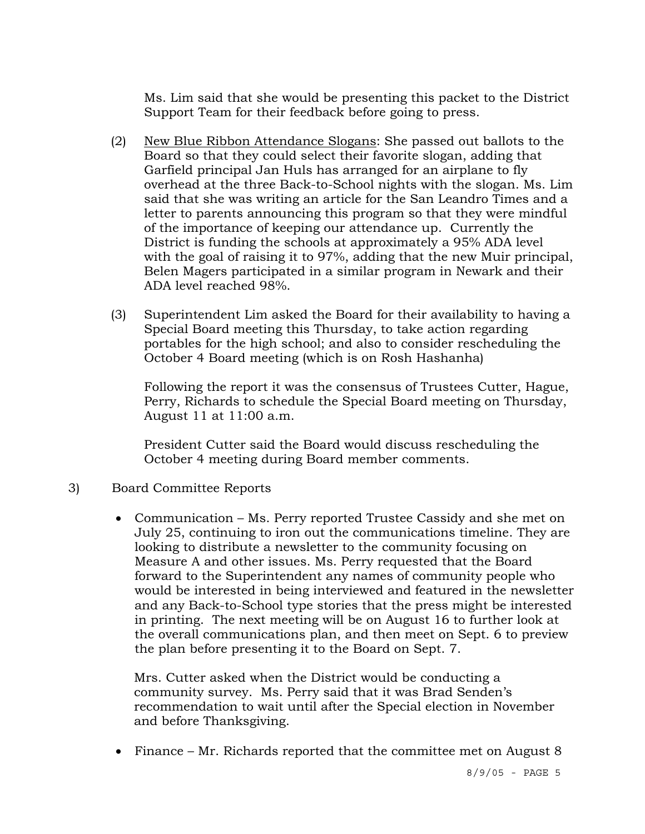Ms. Lim said that she would be presenting this packet to the District Support Team for their feedback before going to press.

- (2) New Blue Ribbon Attendance Slogans: She passed out ballots to the Board so that they could select their favorite slogan, adding that Garfield principal Jan Huls has arranged for an airplane to fly overhead at the three Back-to-School nights with the slogan. Ms. Lim said that she was writing an article for the San Leandro Times and a letter to parents announcing this program so that they were mindful of the importance of keeping our attendance up. Currently the District is funding the schools at approximately a 95% ADA level with the goal of raising it to 97%, adding that the new Muir principal, Belen Magers participated in a similar program in Newark and their ADA level reached 98%.
- (3) Superintendent Lim asked the Board for their availability to having a Special Board meeting this Thursday, to take action regarding portables for the high school; and also to consider rescheduling the October 4 Board meeting (which is on Rosh Hashanha)

 Following the report it was the consensus of Trustees Cutter, Hague, Perry, Richards to schedule the Special Board meeting on Thursday, August 11 at 11:00 a.m.

 President Cutter said the Board would discuss rescheduling the October 4 meeting during Board member comments.

- 3) Board Committee Reports
	- Communication Ms. Perry reported Trustee Cassidy and she met on July 25, continuing to iron out the communications timeline. They are looking to distribute a newsletter to the community focusing on Measure A and other issues. Ms. Perry requested that the Board forward to the Superintendent any names of community people who would be interested in being interviewed and featured in the newsletter and any Back-to-School type stories that the press might be interested in printing. The next meeting will be on August 16 to further look at the overall communications plan, and then meet on Sept. 6 to preview the plan before presenting it to the Board on Sept. 7.

 Mrs. Cutter asked when the District would be conducting a community survey. Ms. Perry said that it was Brad Senden's recommendation to wait until after the Special election in November and before Thanksgiving.

• Finance – Mr. Richards reported that the committee met on August 8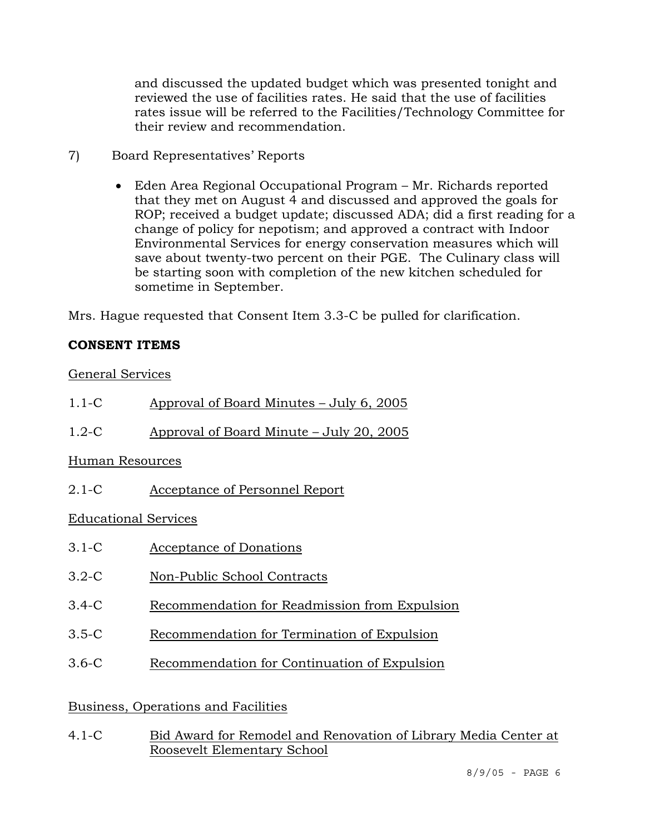and discussed the updated budget which was presented tonight and reviewed the use of facilities rates. He said that the use of facilities rates issue will be referred to the Facilities/Technology Committee for their review and recommendation.

- 7) Board Representatives' Reports
	- Eden Area Regional Occupational Program Mr. Richards reported that they met on August 4 and discussed and approved the goals for ROP; received a budget update; discussed ADA; did a first reading for a change of policy for nepotism; and approved a contract with Indoor Environmental Services for energy conservation measures which will save about twenty-two percent on their PGE. The Culinary class will be starting soon with completion of the new kitchen scheduled for sometime in September.

Mrs. Hague requested that Consent Item 3.3-C be pulled for clarification.

## **CONSENT ITEMS**

General Services

| $1.1-C$ | Approval of Board Minutes - July 6, 2005 |  |
|---------|------------------------------------------|--|
|         |                                          |  |

1.2-C Approval of Board Minute – July 20, 2005

## Human Resources

2.1-C Acceptance of Personnel Report

Educational Services

- 3.1-C Acceptance of Donations
- 3.2-C Non-Public School Contracts
- 3.4-C Recommendation for Readmission from Expulsion
- 3.5-C Recommendation for Termination of Expulsion
- 3.6-C Recommendation for Continuation of Expulsion

## Business, Operations and Facilities

4.1-C Bid Award for Remodel and Renovation of Library Media Center at Roosevelt Elementary School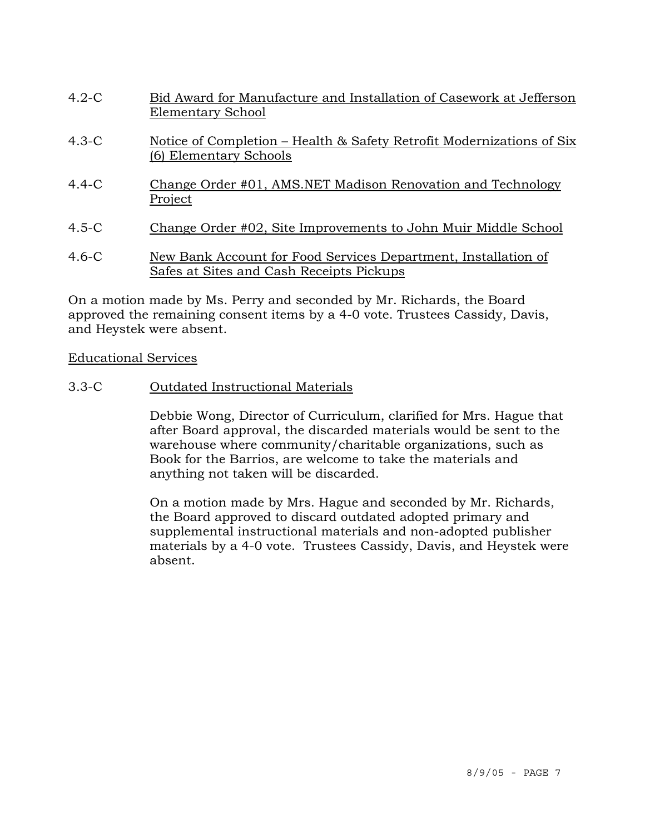| $4.2-C$ | Bid Award for Manufacture and Installation of Casework at Jefferson<br>Elementary School                   |
|---------|------------------------------------------------------------------------------------------------------------|
| $4.3-C$ | Notice of Completion – Health & Safety Retrofit Modernizations of Six<br>(6) Elementary Schools            |
| $4.4-C$ | Change Order #01, AMS.NET Madison Renovation and Technology<br>Project                                     |
| $4.5-C$ | Change Order #02, Site Improvements to John Muir Middle School                                             |
| $4.6-C$ | New Bank Account for Food Services Department, Installation of<br>Safes at Sites and Cash Receipts Pickups |

On a motion made by Ms. Perry and seconded by Mr. Richards, the Board approved the remaining consent items by a 4-0 vote. Trustees Cassidy, Davis, and Heystek were absent.

## Educational Services

3.3-C Outdated Instructional Materials

Debbie Wong, Director of Curriculum, clarified for Mrs. Hague that after Board approval, the discarded materials would be sent to the warehouse where community/charitable organizations, such as Book for the Barrios, are welcome to take the materials and anything not taken will be discarded.

On a motion made by Mrs. Hague and seconded by Mr. Richards, the Board approved to discard outdated adopted primary and supplemental instructional materials and non-adopted publisher materials by a 4-0 vote. Trustees Cassidy, Davis, and Heystek were absent.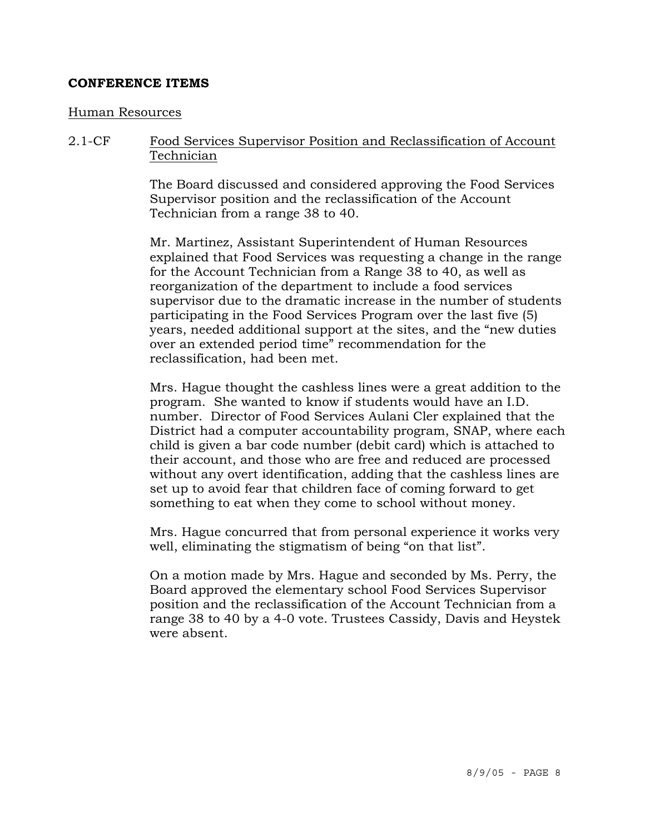### **CONFERENCE ITEMS**

#### Human Resources

2.1-CF Food Services Supervisor Position and Reclassification of Account **Technician** 

> The Board discussed and considered approving the Food Services Supervisor position and the reclassification of the Account Technician from a range 38 to 40.

Mr. Martinez, Assistant Superintendent of Human Resources explained that Food Services was requesting a change in the range for the Account Technician from a Range 38 to 40, as well as reorganization of the department to include a food services supervisor due to the dramatic increase in the number of students participating in the Food Services Program over the last five (5) years, needed additional support at the sites, and the "new duties over an extended period time" recommendation for the reclassification, had been met.

Mrs. Hague thought the cashless lines were a great addition to the program. She wanted to know if students would have an I.D. number. Director of Food Services Aulani Cler explained that the District had a computer accountability program, SNAP, where each child is given a bar code number (debit card) which is attached to their account, and those who are free and reduced are processed without any overt identification, adding that the cashless lines are set up to avoid fear that children face of coming forward to get something to eat when they come to school without money.

Mrs. Hague concurred that from personal experience it works very well, eliminating the stigmatism of being "on that list".

On a motion made by Mrs. Hague and seconded by Ms. Perry, the Board approved the elementary school Food Services Supervisor position and the reclassification of the Account Technician from a range 38 to 40 by a 4-0 vote. Trustees Cassidy, Davis and Heystek were absent.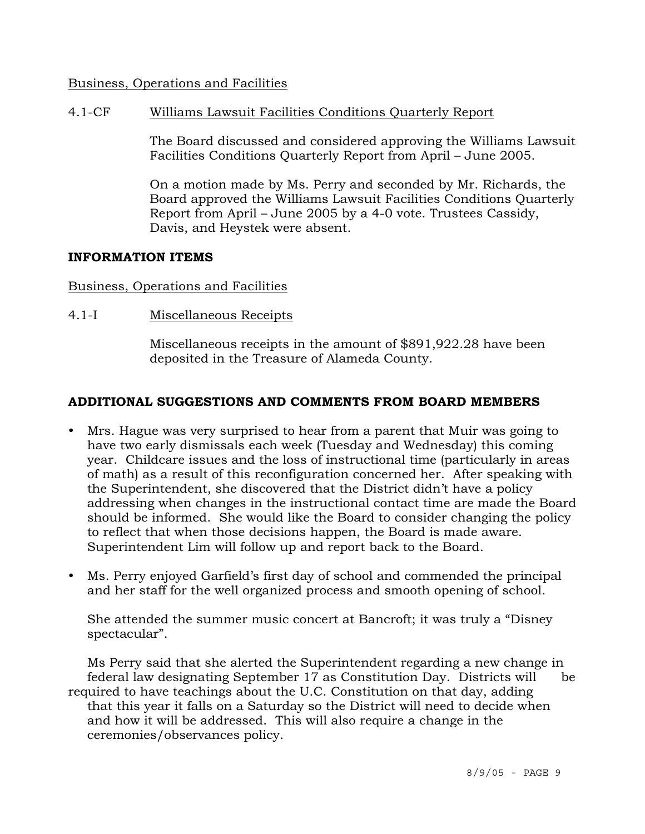## Business, Operations and Facilities

## 4.1-CF Williams Lawsuit Facilities Conditions Quarterly Report

The Board discussed and considered approving the Williams Lawsuit Facilities Conditions Quarterly Report from April – June 2005.

On a motion made by Ms. Perry and seconded by Mr. Richards, the Board approved the Williams Lawsuit Facilities Conditions Quarterly Report from April – June 2005 by a 4-0 vote. Trustees Cassidy, Davis, and Heystek were absent.

### **INFORMATION ITEMS**

### Business, Operations and Facilities

4.1-I Miscellaneous Receipts

Miscellaneous receipts in the amount of \$891,922.28 have been deposited in the Treasure of Alameda County.

### **ADDITIONAL SUGGESTIONS AND COMMENTS FROM BOARD MEMBERS**

- Mrs. Hague was very surprised to hear from a parent that Muir was going to have two early dismissals each week (Tuesday and Wednesday) this coming year. Childcare issues and the loss of instructional time (particularly in areas of math) as a result of this reconfiguration concerned her. After speaking with the Superintendent, she discovered that the District didn't have a policy addressing when changes in the instructional contact time are made the Board should be informed. She would like the Board to consider changing the policy to reflect that when those decisions happen, the Board is made aware. Superintendent Lim will follow up and report back to the Board.
- Ms. Perry enjoyed Garfield's first day of school and commended the principal and her staff for the well organized process and smooth opening of school.

 She attended the summer music concert at Bancroft; it was truly a "Disney spectacular".

 Ms Perry said that she alerted the Superintendent regarding a new change in federal law designating September 17 as Constitution Day. Districts will be required to have teachings about the U.C. Constitution on that day, adding that this year it falls on a Saturday so the District will need to decide when and how it will be addressed. This will also require a change in the ceremonies/observances policy.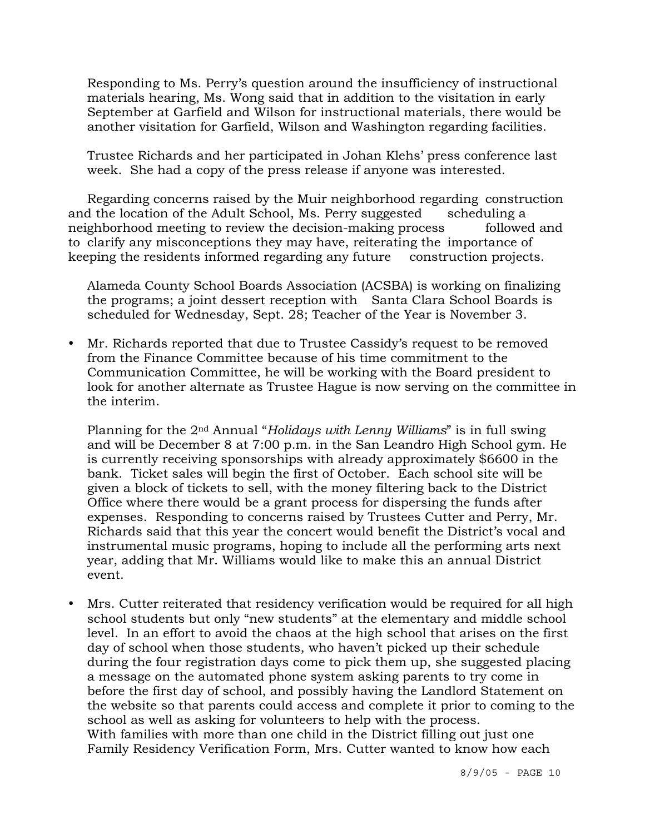Responding to Ms. Perry's question around the insufficiency of instructional materials hearing, Ms. Wong said that in addition to the visitation in early September at Garfield and Wilson for instructional materials, there would be another visitation for Garfield, Wilson and Washington regarding facilities.

 Trustee Richards and her participated in Johan Klehs' press conference last week. She had a copy of the press release if anyone was interested.

 Regarding concerns raised by the Muir neighborhood regarding construction and the location of the Adult School, Ms. Perry suggested scheduling a neighborhood meeting to review the decision-making process followed and to clarify any misconceptions they may have, reiterating the importance of keeping the residents informed regarding any future construction projects.

 Alameda County School Boards Association (ACSBA) is working on finalizing the programs; a joint dessert reception with Santa Clara School Boards is scheduled for Wednesday, Sept. 28; Teacher of the Year is November 3.

• Mr. Richards reported that due to Trustee Cassidy's request to be removed from the Finance Committee because of his time commitment to the Communication Committee, he will be working with the Board president to look for another alternate as Trustee Hague is now serving on the committee in the interim.

 Planning for the 2nd Annual "*Holidays with Lenny Williams*" is in full swing and will be December 8 at 7:00 p.m. in the San Leandro High School gym. He is currently receiving sponsorships with already approximately \$6600 in the bank. Ticket sales will begin the first of October. Each school site will be given a block of tickets to sell, with the money filtering back to the District Office where there would be a grant process for dispersing the funds after expenses. Responding to concerns raised by Trustees Cutter and Perry, Mr. Richards said that this year the concert would benefit the District's vocal and instrumental music programs, hoping to include all the performing arts next year, adding that Mr. Williams would like to make this an annual District event.

• Mrs. Cutter reiterated that residency verification would be required for all high school students but only "new students" at the elementary and middle school level. In an effort to avoid the chaos at the high school that arises on the first day of school when those students, who haven't picked up their schedule during the four registration days come to pick them up, she suggested placing a message on the automated phone system asking parents to try come in before the first day of school, and possibly having the Landlord Statement on the website so that parents could access and complete it prior to coming to the school as well as asking for volunteers to help with the process. With families with more than one child in the District filling out just one Family Residency Verification Form, Mrs. Cutter wanted to know how each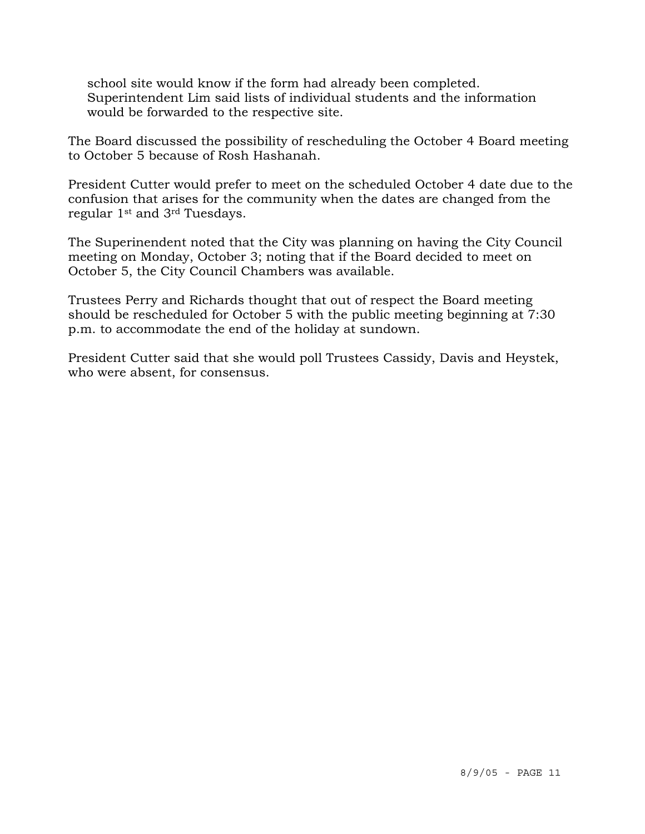school site would know if the form had already been completed. Superintendent Lim said lists of individual students and the information would be forwarded to the respective site.

The Board discussed the possibility of rescheduling the October 4 Board meeting to October 5 because of Rosh Hashanah.

President Cutter would prefer to meet on the scheduled October 4 date due to the confusion that arises for the community when the dates are changed from the regular 1st and 3rd Tuesdays.

The Superinendent noted that the City was planning on having the City Council meeting on Monday, October 3; noting that if the Board decided to meet on October 5, the City Council Chambers was available.

Trustees Perry and Richards thought that out of respect the Board meeting should be rescheduled for October 5 with the public meeting beginning at 7:30 p.m. to accommodate the end of the holiday at sundown.

President Cutter said that she would poll Trustees Cassidy, Davis and Heystek, who were absent, for consensus.